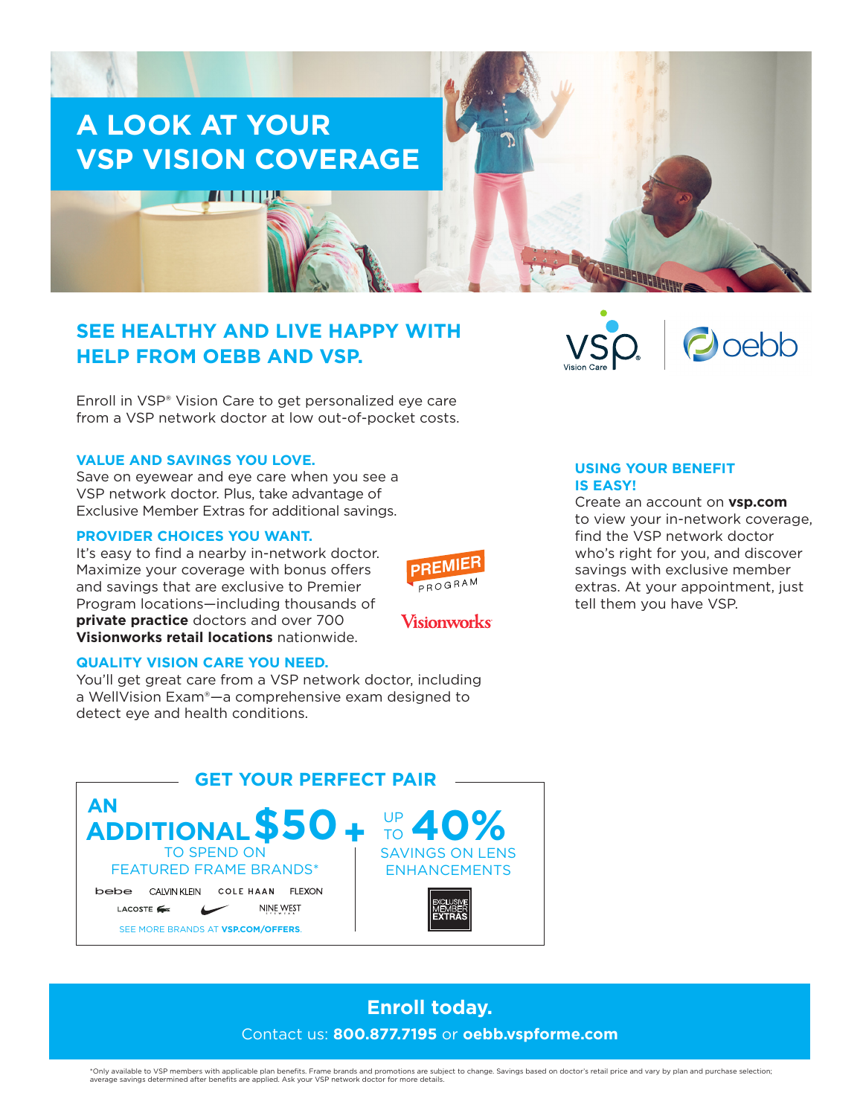

# **SEE HEALTHY AND LIVE HAPPY WITH HELP FROM OEBB AND VSP.**

Enroll in VSP® Vision Care to get personalized eye care from a VSP network doctor at low out-of-pocket costs.

## **VALUE AND SAVINGS YOU LOVE.**

Save on eyewear and eye care when you see a VSP network doctor. Plus, take advantage of Exclusive Member Extras for additional savings.

## **PROVIDER CHOICES YOU WANT.**

It's easy to find a nearby in-network doctor. Maximize your coverage with bonus offers and savings that are exclusive to Premier Program locations—including thousands of **private practice** doctors and over 700 **Visionworks retail locations** nationwide.

# **PREMIER** PROGRAM

Visionworks

## **USING YOUR BENEFIT IS EASY!**

Create an account on **vsp.com** to view your in-network coverage, find the VSP network doctor who's right for you, and discover savings with exclusive member extras. At your appointment, just tell them you have VSP.

 $\bigcirc$  oebb

# **QUALITY VISION CARE YOU NEED.**

You'll get great care from a VSP network doctor, including a WellVision Exam®—a comprehensive exam designed to detect eye and health conditions.



# **Enroll today.**  Contact us: **800.877.7195** or **oebb.vspforme.com**

\*Only available to VSP members with applicable plan benefits. Frame brands and promotions are subject to change. Savings based on doctor's retail price and vary by plan and purchase selection;<br>average savings determined af